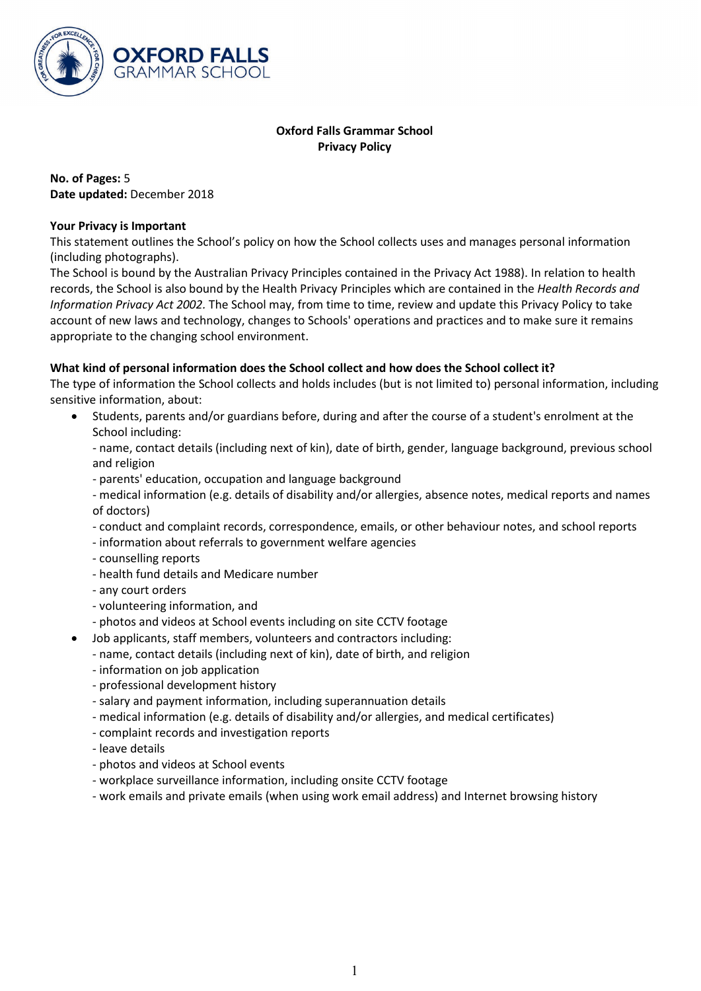

# **Oxford Falls Grammar School Privacy Policy**

**No. of Pages:** 5 **Date updated:** December 2018

## **Your Privacy is Important**

This statement outlines the School's policy on how the School collects uses and manages personal information (including photographs).

The School is bound by the Australian Privacy Principles contained in the Privacy Act 1988). In relation to health records, the School is also bound by the Health Privacy Principles which are contained in the *Health Records and Information Privacy Act 2002.* The School may, from time to time, review and update this Privacy Policy to take account of new laws and technology, changes to Schools' operations and practices and to make sure it remains appropriate to the changing school environment.

# **What kind of personal information does the School collect and how does the School collect it?**

The type of information the School collects and holds includes (but is not limited to) personal information, including sensitive information, about:

• Students, parents and/or guardians before, during and after the course of a student's enrolment at the School including:

- name, contact details (including next of kin), date of birth, gender, language background, previous school and religion

- parents' education, occupation and language background
- medical information (e.g. details of disability and/or allergies, absence notes, medical reports and names of doctors)
- conduct and complaint records, correspondence, emails, or other behaviour notes, and school reports
- information about referrals to government welfare agencies
- counselling reports
- health fund details and Medicare number
- any court orders
- volunteering information, and
- photos and videos at School events including on site CCTV footage
- Job applicants, staff members, volunteers and contractors including:
- name, contact details (including next of kin), date of birth, and religion
- information on job application
- professional development history
- salary and payment information, including superannuation details
- medical information (e.g. details of disability and/or allergies, and medical certificates)
- complaint records and investigation reports
- leave details
- photos and videos at School events
- workplace surveillance information, including onsite CCTV footage
- work emails and private emails (when using work email address) and Internet browsing history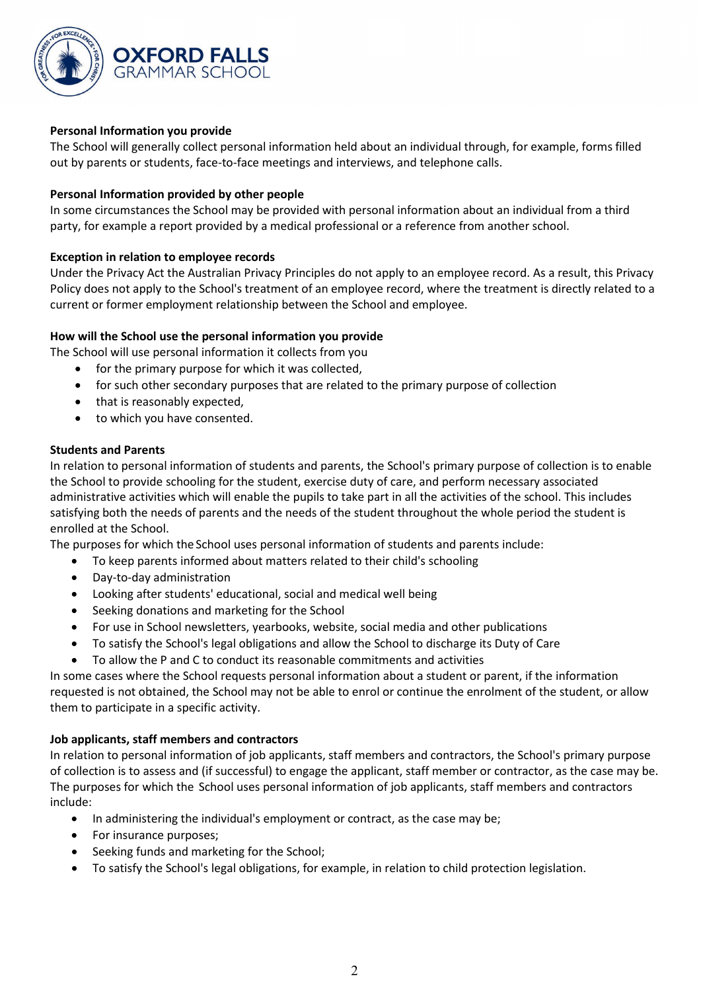

# **Personal Information you provide**

The School will generally collect personal information held about an individual through, for example, forms filled out by parents or students, face-to-face meetings and interviews, and telephone calls.

## **Personal Information provided by other people**

In some circumstances the School may be provided with personal information about an individual from a third party, for example a report provided by a medical professional or a reference from another school.

## **Exception in relation to employee records**

Under the Privacy Act the Australian Privacy Principles do not apply to an employee record. As a result, this Privacy Policy does not apply to the School's treatment of an employee record, where the treatment is directly related to a current or former employment relationship between the School and employee.

## **How will the School use the personal information you provide**

The School will use personal information it collects from you

- for the primary purpose for which it was collected,
- for such other secondary purposes that are related to the primary purpose of collection
- that is reasonably expected,
- to which you have consented.

### **Students and Parents**

In relation to personal information of students and parents, the School's primary purpose of collection is to enable the School to provide schooling for the student, exercise duty of care, and perform necessary associated administrative activities which will enable the pupils to take part in all the activities of the school. This includes satisfying both the needs of parents and the needs of the student throughout the whole period the student is enrolled at the School.

The purposes for which the School uses personal information of students and parents include:

- To keep parents informed about matters related to their child's schooling
- Day-to-day administration
- Looking after students' educational, social and medical well being
- Seeking donations and marketing for the School
- For use in School newsletters, yearbooks, website, social media and other publications
- To satisfy the School's legal obligations and allow the School to discharge its Duty of Care
- To allow the P and C to conduct its reasonable commitments and activities

In some cases where the School requests personal information about a student or parent, if the information requested is not obtained, the School may not be able to enrol or continue the enrolment of the student, or allow them to participate in a specific activity.

### **Job applicants, staff members and contractors**

In relation to personal information of job applicants, staff members and contractors, the School's primary purpose of collection is to assess and (if successful) to engage the applicant, staff member or contractor, as the case may be. The purposes for which the School uses personal information of job applicants, staff members and contractors include:

- In administering the individual's employment or contract, as the case may be;
- For insurance purposes;
- Seeking funds and marketing for the School;
- To satisfy the School's legal obligations, for example, in relation to child protection legislation.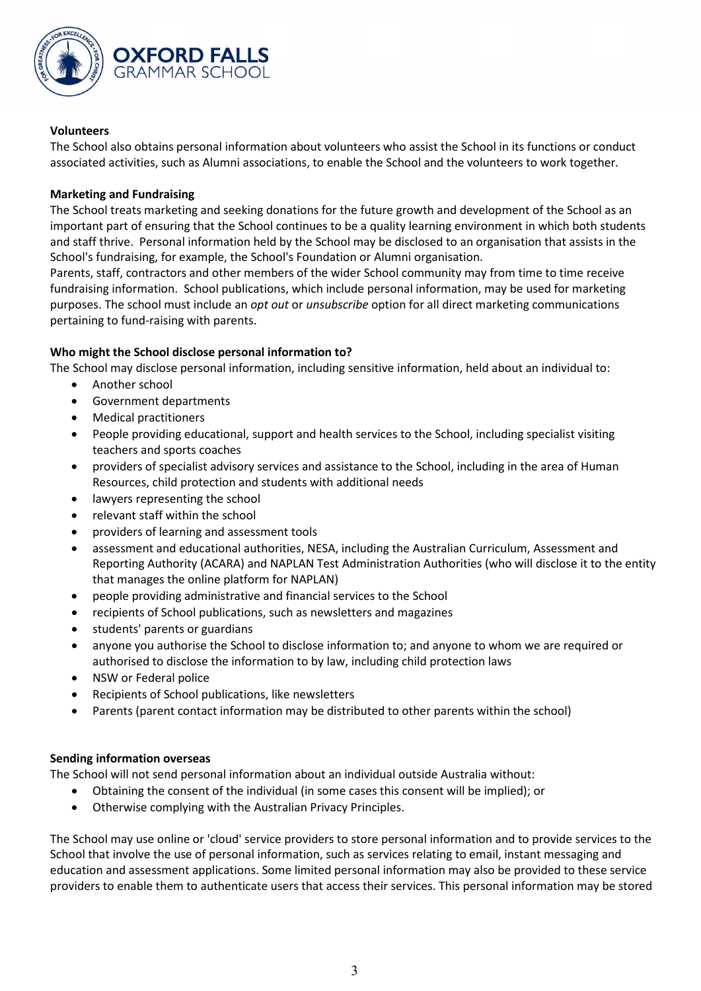

## **Volunteers**

The School also obtains personal information about volunteers who assist the School in its functions or conduct associated activities, such as Alumni associations, to enable the School and the volunteers to work together.

## **Marketing and Fundraising**

The School treats marketing and seeking donations for the future growth and development of the School as an important part of ensuring that the School continues to be a quality learning environment in which both students and staff thrive. Personal information held by the School may be disclosed to an organisation that assists in the School's fundraising, for example, the School's Foundation or Alumni organisation.

Parents, staff, contractors and other members of the wider School community may from time to time receive fundraising information. School publications, which include personal information, may be used for marketing purposes. The school must include an *opt out* or *unsubscribe* option for all direct marketing communications pertaining to fund-raising with parents.

# **Who might the School disclose personal information to?**

The School may disclose personal information, including sensitive information, held about an individual to:

- Another school
- Government departments
- Medical practitioners
- People providing educational, support and health services to the School, including specialist visiting teachers and sports coaches
- providers of specialist advisory services and assistance to the School, including in the area of Human Resources, child protection and students with additional needs
- lawyers representing the school
- relevant staff within the school
- providers of learning and assessment tools
- assessment and educational authorities, NESA, including the Australian Curriculum, Assessment and Reporting Authority (ACARA) and NAPLAN Test Administration Authorities (who will disclose it to the entity that manages the online platform for NAPLAN)
- people providing administrative and financial services to the School
- recipients of School publications, such as newsletters and magazines
- students' parents or guardians
- anyone you authorise the School to disclose information to; and anyone to whom we are required or authorised to disclose the information to by law, including child protection laws
- NSW or Federal police
- Recipients of School publications, like newsletters
- Parents (parent contact information may be distributed to other parents within the school)

### **Sending information overseas**

The School will not send personal information about an individual outside Australia without:

- Obtaining the consent of the individual (in some cases this consent will be implied); or
- Otherwise complying with the Australian Privacy Principles.

The School may use online or 'cloud' service providers to store personal information and to provide services to the School that involve the use of personal information, such as services relating to email, instant messaging and education and assessment applications. Some limited personal information may also be provided to these service providers to enable them to authenticate users that access their services. This personal information may be stored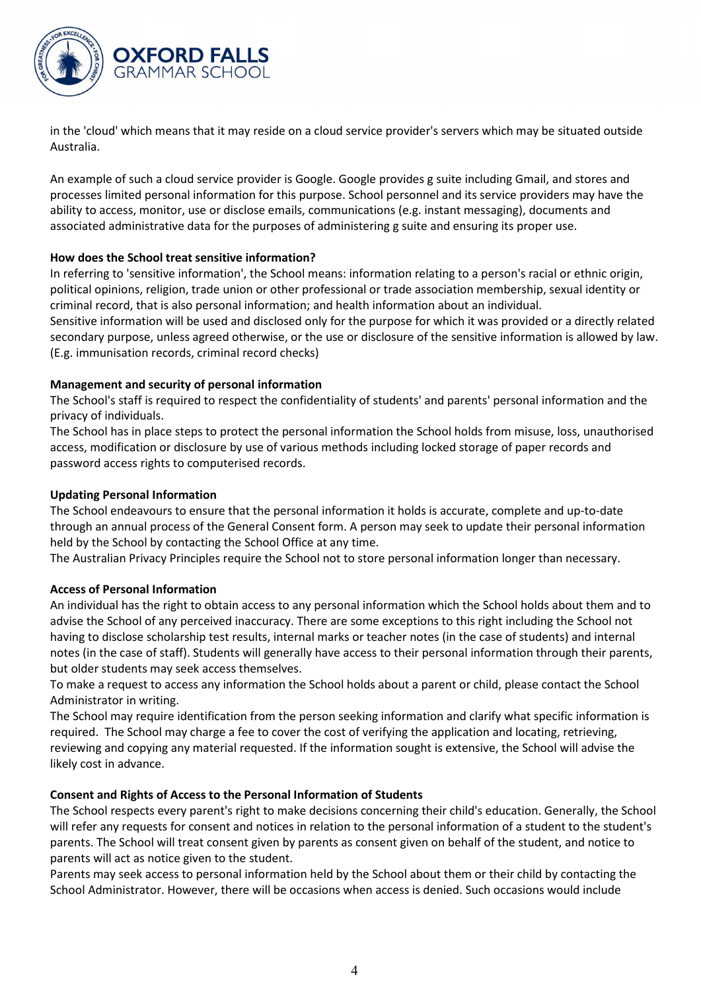

in the 'cloud' which means that it may reside on a cloud service provider's servers which may be situated outside Australia.

An example of such a cloud service provider is Google. Google provides g suite including Gmail, and stores and processes limited personal information for this purpose. School personnel and its service providers may have the ability to access, monitor, use or disclose emails, communications (e.g. instant messaging), documents and associated administrative data for the purposes of administering g suite and ensuring its proper use.

## **How does the School treat sensitive information?**

In referring to 'sensitive information', the School means: information relating to a person's racial or ethnic origin, political opinions, religion, trade union or other professional or trade association membership, sexual identity or criminal record, that is also personal information; and health information about an individual.

Sensitive information will be used and disclosed only for the purpose for which it was provided or a directly related secondary purpose, unless agreed otherwise, or the use or disclosure of the sensitive information is allowed by law. (E.g. immunisation records, criminal record checks)

## **Management and security of personal information**

The School's staff is required to respect the confidentiality of students' and parents' personal information and the privacy of individuals.

The School has in place steps to protect the personal information the School holds from misuse, loss, unauthorised access, modification or disclosure by use of various methods including locked storage of paper records and password access rights to computerised records.

## **Updating Personal Information**

The School endeavours to ensure that the personal information it holds is accurate, complete and up-to-date through an annual process of the General Consent form. A person may seek to update their personal information held by the School by contacting the School Office at any time.

The Australian Privacy Principles require the School not to store personal information longer than necessary.

# **Access of Personal Information**

An individual has the right to obtain access to any personal information which the School holds about them and to advise the School of any perceived inaccuracy. There are some exceptions to this right including the School not having to disclose scholarship test results, internal marks or teacher notes (in the case of students) and internal notes (in the case of staff). Students will generally have access to their personal information through their parents, but older students may seek access themselves.

To make a request to access any information the School holds about a parent or child, please contact the School Administrator in writing.

The School may require identification from the person seeking information and clarify what specific information is required. The School may charge a fee to cover the cost of verifying the application and locating, retrieving, reviewing and copying any material requested. If the information sought is extensive, the School will advise the likely cost in advance.

### **Consent and Rights of Access to the Personal Information of Students**

The School respects every parent's right to make decisions concerning their child's education. Generally, the School will refer any requests for consent and notices in relation to the personal information of a student to the student's parents. The School will treat consent given by parents as consent given on behalf of the student, and notice to parents will act as notice given to the student.

Parents may seek access to personal information held by the School about them or their child by contacting the School Administrator. However, there will be occasions when access is denied. Such occasions would include